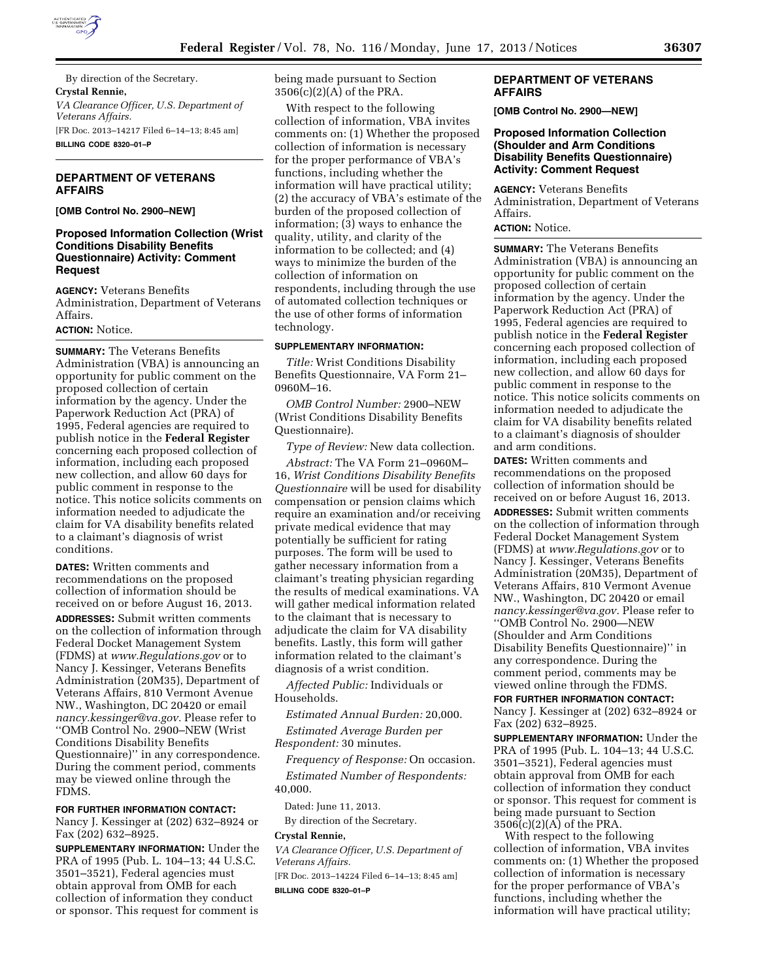

By direction of the Secretary. **Crystal Rennie,**  *VA Clearance Officer, U.S. Department of Veterans Affairs.*  [FR Doc. 2013–14217 Filed 6–14–13; 8:45 am] **BILLING CODE 8320–01–P** 

## **DEPARTMENT OF VETERANS AFFAIRS**

## **[OMB Control No. 2900–NEW]**

## **Proposed Information Collection (Wrist Conditions Disability Benefits Questionnaire) Activity: Comment Request**

**AGENCY:** Veterans Benefits Administration, Department of Veterans Affairs.

#### **ACTION:** Notice.

**SUMMARY:** The Veterans Benefits Administration (VBA) is announcing an opportunity for public comment on the proposed collection of certain information by the agency. Under the Paperwork Reduction Act (PRA) of 1995, Federal agencies are required to publish notice in the **Federal Register**  concerning each proposed collection of information, including each proposed new collection, and allow 60 days for public comment in response to the notice. This notice solicits comments on information needed to adjudicate the claim for VA disability benefits related to a claimant's diagnosis of wrist conditions.

**DATES:** Written comments and recommendations on the proposed collection of information should be received on or before August 16, 2013. **ADDRESSES:** Submit written comments on the collection of information through Federal Docket Management System (FDMS) at *[www.Regulations.gov](http://www.Regulations.gov)* or to Nancy J. Kessinger, Veterans Benefits Administration (20M35), Department of Veterans Affairs, 810 Vermont Avenue NW., Washington, DC 20420 or email *[nancy.kessinger@va.gov.](mailto:nancy.kessinger@va.gov)* Please refer to ''OMB Control No. 2900–NEW (Wrist Conditions Disability Benefits Questionnaire)'' in any correspondence. During the comment period, comments may be viewed online through the FDMS.

**FOR FURTHER INFORMATION CONTACT:** 

Nancy J. Kessinger at (202) 632–8924 or Fax (202) 632–8925.

**SUPPLEMENTARY INFORMATION:** Under the PRA of 1995 (Pub. L. 104–13; 44 U.S.C. 3501–3521), Federal agencies must obtain approval from OMB for each collection of information they conduct or sponsor. This request for comment is being made pursuant to Section 3506(c)(2)(A) of the PRA.

With respect to the following collection of information, VBA invites comments on: (1) Whether the proposed collection of information is necessary for the proper performance of VBA's functions, including whether the information will have practical utility; (2) the accuracy of VBA's estimate of the burden of the proposed collection of information; (3) ways to enhance the quality, utility, and clarity of the information to be collected; and (4) ways to minimize the burden of the collection of information on respondents, including through the use of automated collection techniques or the use of other forms of information technology.

#### **SUPPLEMENTARY INFORMATION:**

*Title:* Wrist Conditions Disability Benefits Questionnaire, VA Form 21– 0960M–16.

*OMB Control Number:* 2900–NEW (Wrist Conditions Disability Benefits Questionnaire).

*Type of Review:* New data collection.

*Abstract:* The VA Form 21–0960M– 16, *Wrist Conditions Disability Benefits Questionnaire* will be used for disability compensation or pension claims which require an examination and/or receiving private medical evidence that may potentially be sufficient for rating purposes. The form will be used to gather necessary information from a claimant's treating physician regarding the results of medical examinations. VA will gather medical information related to the claimant that is necessary to adjudicate the claim for VA disability benefits. Lastly, this form will gather information related to the claimant's diagnosis of a wrist condition.

*Affected Public:* Individuals or Households.

*Estimated Annual Burden:* 20,000. *Estimated Average Burden per Respondent:* 30 minutes.

*Frequency of Response:* On occasion. *Estimated Number of Respondents:*  40,000.

Dated: June 11, 2013.

By direction of the Secretary.

## **Crystal Rennie,**

*VA Clearance Officer, U.S. Department of Veterans Affairs.*  [FR Doc. 2013–14224 Filed 6–14–13; 8:45 am]

**BILLING CODE 8320–01–P** 

## **DEPARTMENT OF VETERANS AFFAIRS**

**[OMB Control No. 2900—NEW]** 

## **Proposed Information Collection (Shoulder and Arm Conditions Disability Benefits Questionnaire) Activity: Comment Request**

**AGENCY:** Veterans Benefits Administration, Department of Veterans Affairs.

## **ACTION:** Notice.

**SUMMARY:** The Veterans Benefits Administration (VBA) is announcing an opportunity for public comment on the proposed collection of certain information by the agency. Under the Paperwork Reduction Act (PRA) of 1995, Federal agencies are required to publish notice in the **Federal Register**  concerning each proposed collection of information, including each proposed new collection, and allow 60 days for public comment in response to the notice. This notice solicits comments on information needed to adjudicate the claim for VA disability benefits related to a claimant's diagnosis of shoulder and arm conditions.

**DATES:** Written comments and recommendations on the proposed collection of information should be received on or before August 16, 2013.

**ADDRESSES:** Submit written comments on the collection of information through Federal Docket Management System (FDMS) at *[www.Regulations.gov](http://www.Regulations.gov)* or to Nancy J. Kessinger, Veterans Benefits Administration (20M35), Department of Veterans Affairs, 810 Vermont Avenue NW., Washington, DC 20420 or email *[nancy.kessinger@va.gov.](mailto:nancy.kessinger@va.gov)* Please refer to ''OMB Control No. 2900—NEW (Shoulder and Arm Conditions Disability Benefits Questionnaire)'' in any correspondence. During the comment period, comments may be viewed online through the FDMS.

**FOR FURTHER INFORMATION CONTACT:**  Nancy J. Kessinger at (202) 632–8924 or Fax (202) 632–8925.

**SUPPLEMENTARY INFORMATION:** Under the PRA of 1995 (Pub. L. 104–13; 44 U.S.C. 3501–3521), Federal agencies must obtain approval from OMB for each collection of information they conduct or sponsor. This request for comment is being made pursuant to Section 3506(c)(2)(A) of the PRA.

With respect to the following collection of information, VBA invites comments on: (1) Whether the proposed collection of information is necessary for the proper performance of VBA's functions, including whether the information will have practical utility;